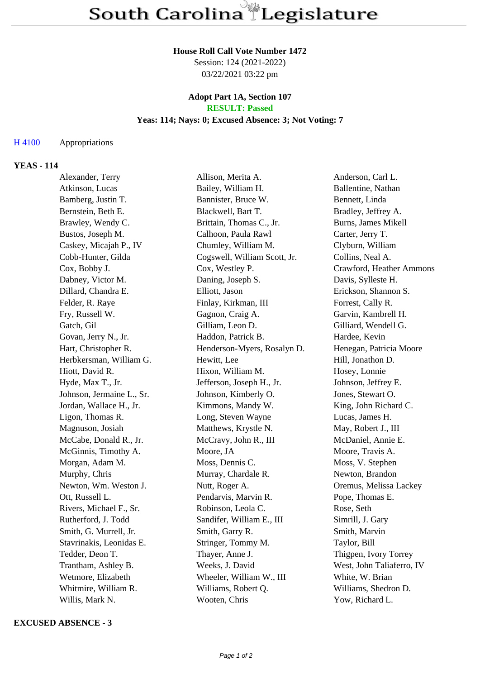#### **House Roll Call Vote Number 1472**

Session: 124 (2021-2022) 03/22/2021 03:22 pm

### **Adopt Part 1A, Section 107 RESULT: Passed**

# **Yeas: 114; Nays: 0; Excused Absence: 3; Not Voting: 7**

## H 4100 Appropriations

## **YEAS - 114**

| Alexander, Terry          | Allison, Merita A.           | Anderson, Carl L.         |
|---------------------------|------------------------------|---------------------------|
| Atkinson, Lucas           | Bailey, William H.           | Ballentine, Nathan        |
| Bamberg, Justin T.        | Bannister, Bruce W.          | Bennett, Linda            |
| Bernstein, Beth E.        | Blackwell, Bart T.           | Bradley, Jeffrey A.       |
| Brawley, Wendy C.         | Brittain, Thomas C., Jr.     | Burns, James Mikell       |
| Bustos, Joseph M.         | Calhoon, Paula Rawl          | Carter, Jerry T.          |
| Caskey, Micajah P., IV    | Chumley, William M.          | Clyburn, William          |
| Cobb-Hunter, Gilda        | Cogswell, William Scott, Jr. | Collins, Neal A.          |
| Cox, Bobby J.             | Cox, Westley P.              | Crawford, Heather Ammons  |
| Dabney, Victor M.         | Daning, Joseph S.            | Davis, Sylleste H.        |
| Dillard, Chandra E.       | Elliott, Jason               | Erickson, Shannon S.      |
| Felder, R. Raye           | Finlay, Kirkman, III         | Forrest, Cally R.         |
| Fry, Russell W.           | Gagnon, Craig A.             | Garvin, Kambrell H.       |
| Gatch, Gil                | Gilliam, Leon D.             | Gilliard, Wendell G.      |
| Govan, Jerry N., Jr.      | Haddon, Patrick B.           | Hardee, Kevin             |
| Hart, Christopher R.      | Henderson-Myers, Rosalyn D.  | Henegan, Patricia Moore   |
| Herbkersman, William G.   | Hewitt, Lee                  | Hill, Jonathon D.         |
| Hiott, David R.           | Hixon, William M.            | Hosey, Lonnie             |
| Hyde, Max T., Jr.         | Jefferson, Joseph H., Jr.    | Johnson, Jeffrey E.       |
| Johnson, Jermaine L., Sr. | Johnson, Kimberly O.         | Jones, Stewart O.         |
| Jordan, Wallace H., Jr.   | Kimmons, Mandy W.            | King, John Richard C.     |
| Ligon, Thomas R.          | Long, Steven Wayne           | Lucas, James H.           |
| Magnuson, Josiah          | Matthews, Krystle N.         | May, Robert J., III       |
| McCabe, Donald R., Jr.    | McCravy, John R., III        | McDaniel, Annie E.        |
| McGinnis, Timothy A.      | Moore, JA                    | Moore, Travis A.          |
| Morgan, Adam M.           | Moss, Dennis C.              | Moss, V. Stephen          |
| Murphy, Chris             | Murray, Chardale R.          | Newton, Brandon           |
| Newton, Wm. Weston J.     | Nutt, Roger A.               | Oremus, Melissa Lackey    |
| Ott, Russell L.           | Pendarvis, Marvin R.         | Pope, Thomas E.           |
| Rivers, Michael F., Sr.   | Robinson, Leola C.           | Rose, Seth                |
| Rutherford, J. Todd       | Sandifer, William E., III    | Simrill, J. Gary          |
| Smith, G. Murrell, Jr.    | Smith, Garry R.              | Smith, Marvin             |
| Stavrinakis, Leonidas E.  | Stringer, Tommy M.           | Taylor, Bill              |
| Tedder, Deon T.           | Thayer, Anne J.              | Thigpen, Ivory Torrey     |
| Trantham, Ashley B.       | Weeks, J. David              | West, John Taliaferro, IV |
| Wetmore, Elizabeth        | Wheeler, William W., III     | White, W. Brian           |
| Whitmire, William R.      | Williams, Robert Q.          | Williams, Shedron D.      |
| Willis, Mark N.           | Wooten, Chris                | Yow, Richard L.           |

### **EXCUSED ABSENCE - 3**